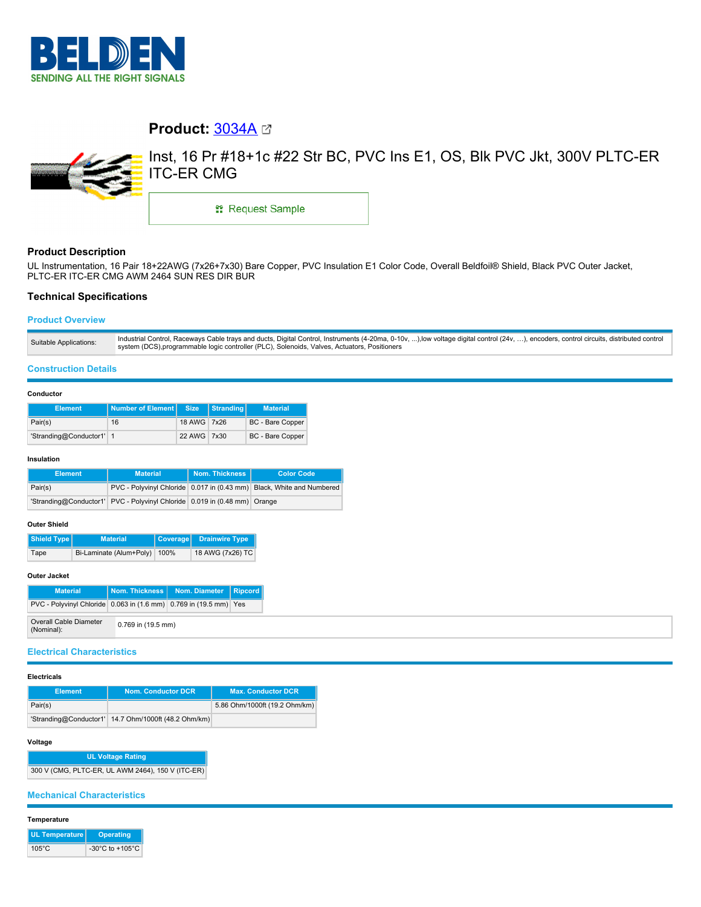

# **Product:** [3034A](https://catalog.belden.com/index.cfm?event=pd&p=PF_3034A&tab=downloads)



Inst, 16 Pr #18+1c #22 Str BC, PVC Ins E1, OS, Blk PVC Jkt, 300V PLTC-ER ITC-ER CMG

\*\* Request Sample

# **Product Description**

UL Instrumentation, 16 Pair 18+22AWG (7x26+7x30) Bare Copper, PVC Insulation E1 Color Code, Overall Beldfoil® Shield, Black PVC Outer Jacket, PLTC-ER ITC-ER CMG AWM 2464 SUN RES DIR BUR

# **Technical Specifications**

## **Product Overview**

## **Construction Details**

#### **Conductor**

| <b>Element</b>           | Number of Element Size |             | Stranding | <b>Material</b>  |
|--------------------------|------------------------|-------------|-----------|------------------|
| Pair(s)                  | 16                     | 18 AWG 7x26 |           | BC - Bare Copper |
| 'Stranding@Conductor1' 1 |                        | 22 AWG 7x30 |           | BC - Bare Copper |

#### **Insulation**

| <b>Element</b> | <b>Material</b>                                                           | Nom. Thickness I | <b>Color Code</b>                                                     |  |
|----------------|---------------------------------------------------------------------------|------------------|-----------------------------------------------------------------------|--|
| Pair(s)        |                                                                           |                  | PVC - Polyvinyl Chloride 0.017 in (0.43 mm) Black, White and Numbered |  |
|                | 'Stranding@Conductor1' PVC - Polyvinyl Chloride 0.019 in (0.48 mm) Orange |                  |                                                                       |  |

## **Outer Shield**

| Shield Type | <b>Material</b>         |      | Coverage Drainwire Type |
|-------------|-------------------------|------|-------------------------|
| Tape        | Bi-Laminate (Alum+Poly) | 100% | 18 AWG (7x26) TC        |

## **Outer Jacket**

| <b>Material</b>                                                   |                    | Nom. Thickness   Nom. Diameter   Ripcord |  |
|-------------------------------------------------------------------|--------------------|------------------------------------------|--|
| PVC - Polyvinyl Chloride 0.063 in (1.6 mm) 0.769 in (19.5 mm) Yes |                    |                                          |  |
| Overall Cable Diameter<br>(Nominal):                              | 0.769 in (19.5 mm) |                                          |  |

## **Electrical Characteristics**

#### **Electricals**

| <b>Element</b> | Nom. Conductor DCR                                   | <b>Max. Conductor DCR</b>     |
|----------------|------------------------------------------------------|-------------------------------|
| Pair(s)        |                                                      | 5.86 Ohm/1000ft (19.2 Ohm/km) |
|                | 'Stranding@Conductor1' 14.7 Ohm/1000ft (48.2 Ohm/km) |                               |

## **Voltage**

**UL Voltage Rating** 300 V (CMG, PLTC-ER, UL AWM 2464), 150 V (ITC-ER)

## **Mechanical Characteristics**

## **Temperature**

| UL Temperature  | <b>Operating</b>                      |
|-----------------|---------------------------------------|
| $105^{\circ}$ C | -30 $^{\circ}$ C to +105 $^{\circ}$ C |